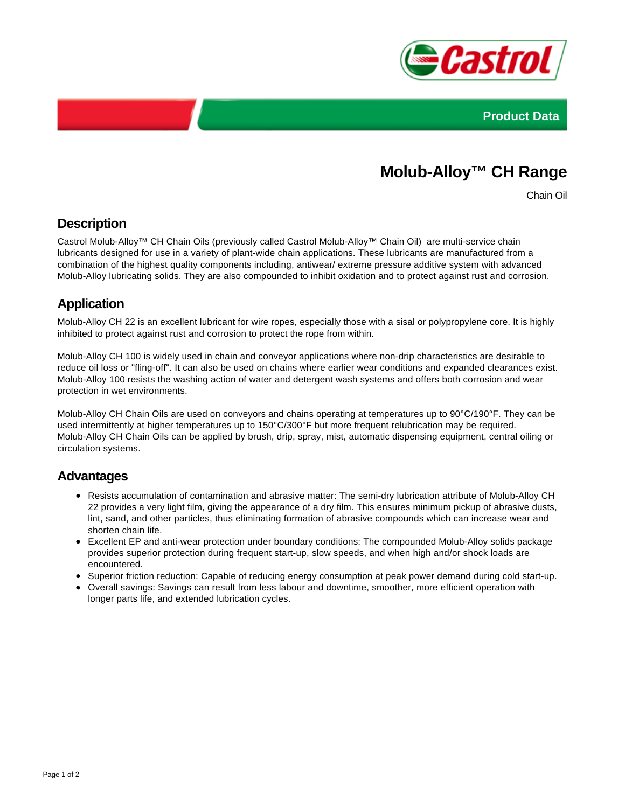



# **Molub-Alloy™ CH Range**

Chain Oil

# **Description**

Castrol Molub-Alloy™ CH Chain Oils (previously called Castrol Molub-Alloy™ Chain Oil) are multi-service chain lubricants designed for use in a variety of plant-wide chain applications. These lubricants are manufactured from a combination of the highest quality components including, antiwear/ extreme pressure additive system with advanced Molub-Alloy lubricating solids. They are also compounded to inhibit oxidation and to protect against rust and corrosion.

# **Application**

Molub-Alloy CH 22 is an excellent lubricant for wire ropes, especially those with a sisal or polypropylene core. It is highly inhibited to protect against rust and corrosion to protect the rope from within.

Molub-Alloy CH 100 is widely used in chain and conveyor applications where non-drip characteristics are desirable to reduce oil loss or "fling-off". It can also be used on chains where earlier wear conditions and expanded clearances exist. Molub-Alloy 100 resists the washing action of water and detergent wash systems and offers both corrosion and wear protection in wet environments.

Molub-Alloy CH Chain Oils are used on conveyors and chains operating at temperatures up to 90°C/190°F. They can be used intermittently at higher temperatures up to 150°C/300°F but more frequent relubrication may be required. Molub-Alloy CH Chain Oils can be applied by brush, drip, spray, mist, automatic dispensing equipment, central oiling or circulation systems.

### **Advantages**

- Resists accumulation of contamination and abrasive matter: The semi-dry lubrication attribute of Molub-Alloy CH 22 provides a very light film, giving the appearance of a dry film. This ensures minimum pickup of abrasive dusts, lint, sand, and other particles, thus eliminating formation of abrasive compounds which can increase wear and shorten chain life.
- Excellent EP and anti-wear protection under boundary conditions: The compounded Molub-Alloy solids package provides superior protection during frequent start-up, slow speeds, and when high and/or shock loads are encountered.
- Superior friction reduction: Capable of reducing energy consumption at peak power demand during cold start-up.
- Overall savings: Savings can result from less labour and downtime, smoother, more efficient operation with longer parts life, and extended lubrication cycles.